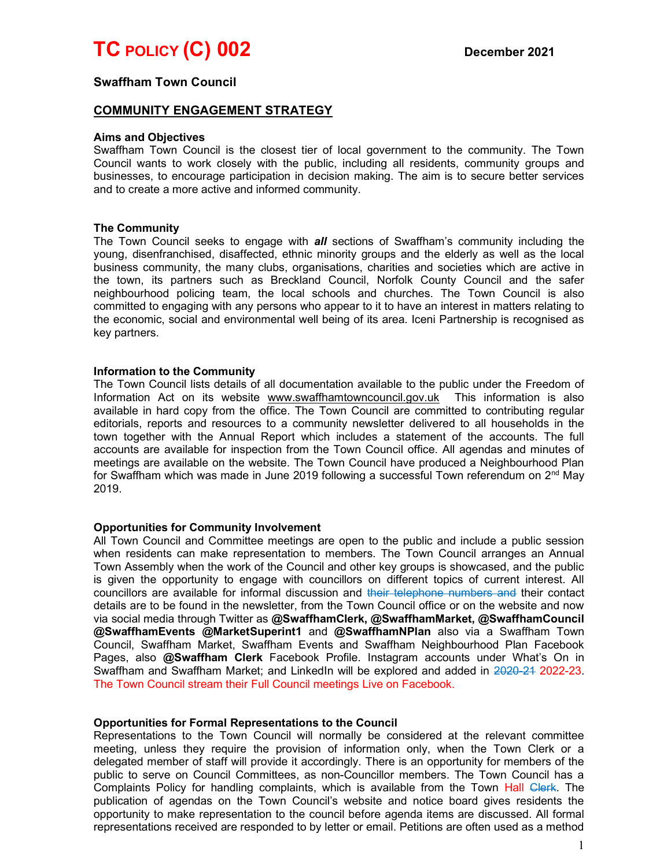# TC POLICY (C) 002 December 2021

## Swaffham Town Council

## COMMUNITY ENGAGEMENT STRATEGY

#### Aims and Objectives

Swaffham Town Council is the closest tier of local government to the community. The Town Council wants to work closely with the public, including all residents, community groups and businesses, to encourage participation in decision making. The aim is to secure better services and to create a more active and informed community.

#### The Community

The Town Council seeks to engage with **all** sections of Swaffham's community including the young, disenfranchised, disaffected, ethnic minority groups and the elderly as well as the local business community, the many clubs, organisations, charities and societies which are active in the town, its partners such as Breckland Council, Norfolk County Council and the safer neighbourhood policing team, the local schools and churches. The Town Council is also committed to engaging with any persons who appear to it to have an interest in matters relating to the economic, social and environmental well being of its area. Iceni Partnership is recognised as key partners.

#### Information to the Community

The Town Council lists details of all documentation available to the public under the Freedom of Information Act on its website www.swaffhamtowncouncil.gov.uk This information is also available in hard copy from the office. The Town Council are committed to contributing regular editorials, reports and resources to a community newsletter delivered to all households in the town together with the Annual Report which includes a statement of the accounts. The full accounts are available for inspection from the Town Council office. All agendas and minutes of meetings are available on the website. The Town Council have produced a Neighbourhood Plan for Swaffham which was made in June 2019 following a successful Town referendum on  $2<sup>nd</sup>$  May 2019.

#### Opportunities for Community Involvement

All Town Council and Committee meetings are open to the public and include a public session when residents can make representation to members. The Town Council arranges an Annual Town Assembly when the work of the Council and other key groups is showcased, and the public is given the opportunity to engage with councillors on different topics of current interest. All councillors are available for informal discussion and their telephone numbers and their contact details are to be found in the newsletter, from the Town Council office or on the website and now via social media through Twitter as @SwaffhamClerk, @SwaffhamMarket, @SwaffhamCouncil @SwaffhamEvents @MarketSuperint1 and @SwaffhamNPlan also via a Swaffham Town Council, Swaffham Market, Swaffham Events and Swaffham Neighbourhood Plan Facebook Pages, also @Swaffham Clerk Facebook Profile. Instagram accounts under What's On in Swaffham and Swaffham Market; and LinkedIn will be explored and added in 2020-21 2022-23. The Town Council stream their Full Council meetings Live on Facebook.

#### Opportunities for Formal Representations to the Council

Representations to the Town Council will normally be considered at the relevant committee meeting, unless they require the provision of information only, when the Town Clerk or a delegated member of staff will provide it accordingly. There is an opportunity for members of the public to serve on Council Committees, as non-Councillor members. The Town Council has a Complaints Policy for handling complaints, which is available from the Town Hall Clerk. The publication of agendas on the Town Council's website and notice board gives residents the opportunity to make representation to the council before agenda items are discussed. All formal representations received are responded to by letter or email. Petitions are often used as a method